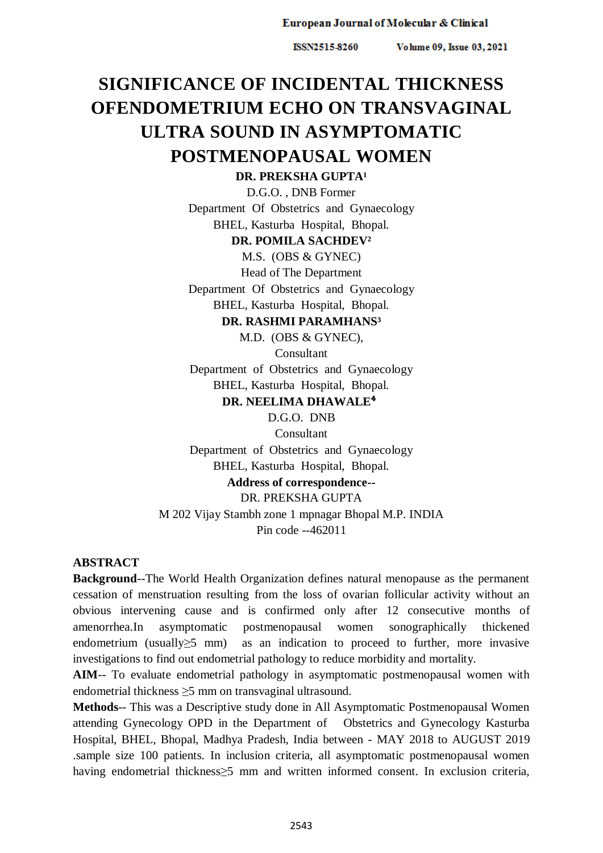ISSN2515-8260

Volume 09, Issue 03, 2021

# **SIGNIFICANCE OF INCIDENTAL THICKNESS OFENDOMETRIUM ECHO ON TRANSVAGINAL ULTRA SOUND IN ASYMPTOMATIC POSTMENOPAUSAL WOMEN**

**DR. PREKSHA GUPTA<sup>1</sup>** 

D.G.O. , DNB Former Department Of Obstetrics and Gynaecology BHEL, Kasturba Hospital, Bhopal.

#### **DR. POMILA SACHDEV²**

M.S. (OBS & GYNEC)

Head of The Department

Department Of Obstetrics and Gynaecology BHEL, Kasturba Hospital, Bhopal.

# **DR. RASHMI PARAMHANS³**

M.D. (OBS & GYNEC),

Consultant

Department of Obstetrics and Gynaecology

BHEL, Kasturba Hospital, Bhopal.

# **DR. NEELIMA DHAWALE<sup>4</sup>**

D.G.O. DNB

Consultant

Department of Obstetrics and Gynaecology

BHEL, Kasturba Hospital, Bhopal.

# **Address of correspondence--**

## DR. PREKSHA GUPTA

M 202 Vijay Stambh zone 1 mpnagar Bhopal M.P. INDIA Pin code --462011

#### **ABSTRACT**

**Background**--The World Health Organization defines natural menopause as the permanent cessation of menstruation resulting from the loss of ovarian follicular activity without an obvious intervening cause and is confirmed only after 12 consecutive months of amenorrhea.In asymptomatic postmenopausal women sonographically thickened endometrium (usually≥5 mm) as an indication to proceed to further, more invasive investigations to find out endometrial pathology to reduce morbidity and mortality.

**AIM**-- To evaluate endometrial pathology in asymptomatic postmenopausal women with endometrial thickness ≥5 mm on transvaginal ultrasound.

**Methods**-- This was a Descriptive study done in All Asymptomatic Postmenopausal Women attending Gynecology OPD in the Department of Obstetrics and Gynecology Kasturba Hospital, BHEL, Bhopal, Madhya Pradesh, India between - MAY 2018 to AUGUST 2019 .sample size 100 patients. In inclusion criteria, all asymptomatic postmenopausal women having endometrial thickness≥5 mm and written informed consent. In exclusion criteria,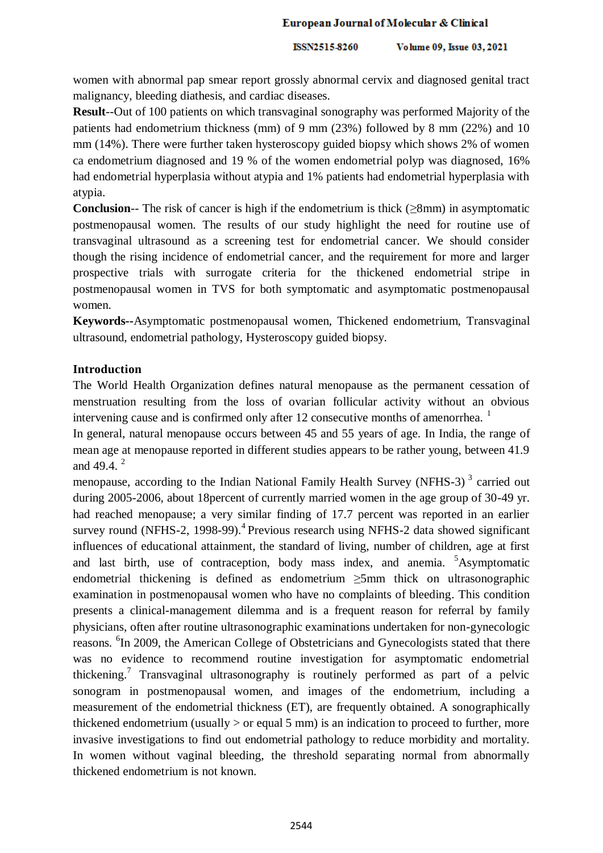ISSN2515-8260 Volume 09, Issue 03, 2021

women with abnormal pap smear report grossly abnormal cervix and diagnosed genital tract malignancy, bleeding diathesis, and cardiac diseases.

**Result**--Out of 100 patients on which transvaginal sonography was performed Majority of the patients had endometrium thickness (mm) of 9 mm (23%) followed by 8 mm (22%) and 10 mm (14%). There were further taken hysteroscopy guided biopsy which shows 2% of women ca endometrium diagnosed and 19 % of the women endometrial polyp was diagnosed, 16% had endometrial hyperplasia without atypia and 1% patients had endometrial hyperplasia with atypia.

**Conclusion**-- The risk of cancer is high if the endometrium is thick ( $>8$ mm) in asymptomatic postmenopausal women. The results of our study highlight the need for routine use of transvaginal ultrasound as a screening test for endometrial cancer. We should consider though the rising incidence of endometrial cancer, and the requirement for more and larger prospective trials with surrogate criteria for the thickened endometrial stripe in postmenopausal women in TVS for both symptomatic and asymptomatic postmenopausal women.

**Keywords--**Asymptomatic postmenopausal women, Thickened endometrium, Transvaginal ultrasound, endometrial pathology, Hysteroscopy guided biopsy.

## **Introduction**

The World Health Organization defines natural menopause as the permanent cessation of menstruation resulting from the loss of ovarian follicular activity without an obvious intervening cause and is confirmed only after 12 consecutive months of amenorrhea.  $1$ 

In general, natural menopause occurs between 45 and 55 years of age. In India, the range of mean age at menopause reported in different studies appears to be rather young, between 41.9 and 49.4. <sup>2</sup>

menopause, according to the Indian National Family Health Survey (NFHS-3)<sup>3</sup> carried out during 2005-2006, about 18percent of currently married women in the age group of 30-49 yr. had reached menopause; a very similar finding of 17.7 percent was reported in an earlier survey round (NFHS-2, 1998-99).<sup>4</sup> Previous research using NFHS-2 data showed significant influences of educational attainment, the standard of living, number of children, age at first and last birth, use of contraception, body mass index, and anemia.  $5A$ symptomatic endometrial thickening is defined as endometrium >5mm thick on ultrasonographic examination in postmenopausal women who have no complaints of bleeding. This condition presents a clinical-management dilemma and is a frequent reason for referral by family physicians, often after routine ultrasonographic examinations undertaken for non-gynecologic reasons. <sup>6</sup>In 2009, the American College of Obstetricians and Gynecologists stated that there was no evidence to recommend routine investigation for asymptomatic endometrial thickening.<sup>7</sup> Transvaginal ultrasonography is routinely performed as part of a pelvic sonogram in postmenopausal women, and images of the endometrium, including a measurement of the endometrial thickness (ET), are frequently obtained. A sonographically thickened endometrium (usually  $>$  or equal 5 mm) is an indication to proceed to further, more invasive investigations to find out endometrial pathology to reduce morbidity and mortality. In women without vaginal bleeding, the threshold separating normal from abnormally thickened endometrium is not known.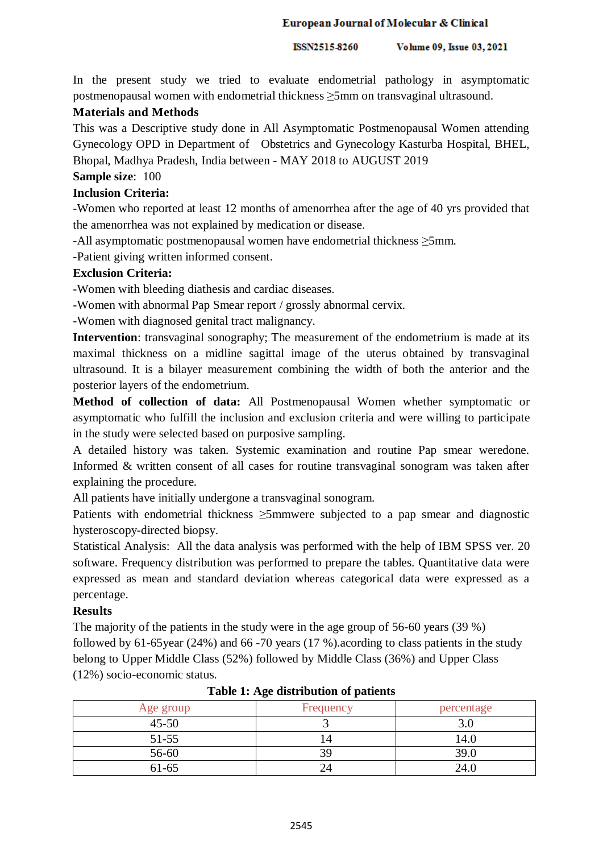ISSN2515-8260 Volume 09, Issue 03, 2021

In the present study we tried to evaluate endometrial pathology in asymptomatic postmenopausal women with endometrial thickness ≥5mm on transvaginal ultrasound.

# **Materials and Methods**

This was a Descriptive study done in All Asymptomatic Postmenopausal Women attending Gynecology OPD in Department of Obstetrics and Gynecology Kasturba Hospital, BHEL, Bhopal, Madhya Pradesh, India between - MAY 2018 to AUGUST 2019

# **Sample size**: 100

# **Inclusion Criteria:**

-Women who reported at least 12 months of amenorrhea after the age of 40 yrs provided that the amenorrhea was not explained by medication or disease.

-All asymptomatic postmenopausal women have endometrial thickness ≥5mm.

-Patient giving written informed consent.

# **Exclusion Criteria:**

-Women with bleeding diathesis and cardiac diseases.

-Women with abnormal Pap Smear report / grossly abnormal cervix.

-Women with diagnosed genital tract malignancy.

**Intervention**: transvaginal sonography; The measurement of the endometrium is made at its maximal thickness on a midline sagittal image of the uterus obtained by transvaginal ultrasound. It is a bilayer measurement combining the width of both the anterior and the posterior layers of the endometrium.

**Method of collection of data:** All Postmenopausal Women whether symptomatic or asymptomatic who fulfill the inclusion and exclusion criteria and were willing to participate in the study were selected based on purposive sampling.

A detailed history was taken. Systemic examination and routine Pap smear weredone. Informed & written consent of all cases for routine transvaginal sonogram was taken after explaining the procedure.

All patients have initially undergone a transvaginal sonogram.

Patients with endometrial thickness ≥5mmwere subjected to a pap smear and diagnostic hysteroscopy-directed biopsy.

Statistical Analysis: All the data analysis was performed with the help of IBM SPSS ver. 20 software. Frequency distribution was performed to prepare the tables. Quantitative data were expressed as mean and standard deviation whereas categorical data were expressed as a percentage.

# **Results**

The majority of the patients in the study were in the age group of 56-60 years (39 %) followed by 61-65year (24%) and 66 -70 years (17 %).acording to class patients in the study belong to Upper Middle Class (52%) followed by Middle Class (36%) and Upper Class (12%) socio-economic status.

| Age group | Frequency | percentage |
|-----------|-----------|------------|
| $45 - 50$ |           |            |
| $51 - 55$ |           | I 4.U      |
| 56-60     | 39        | 39.0       |
| $61 - 65$ |           | 24.0       |

|  | Table 1: Age distribution of patients |  |
|--|---------------------------------------|--|
|--|---------------------------------------|--|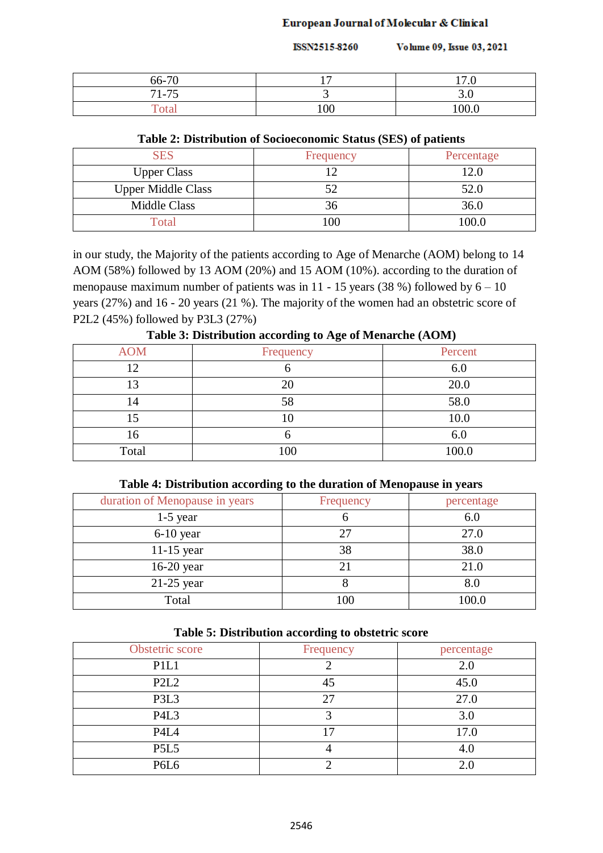ISSN2515-8260 Volume 09, Issue 03, 2021

| 66-70 | 1 m | 170   |
|-------|-----|-------|
| 71-75 | ັ   | J.U   |
| Total | 100 | 100.0 |

# **Table 2: Distribution of Socioeconomic Status (SES) of patients**

| <b>SES</b>                | Frequency | Percentage |
|---------------------------|-----------|------------|
| <b>Upper Class</b>        |           | 12.0       |
| <b>Upper Middle Class</b> |           | 52.0       |
| <b>Middle Class</b>       |           | 36.0       |
| Total                     | 100       | 100.0      |

in our study, the Majority of the patients according to Age of Menarche (AOM) belong to 14 AOM (58%) followed by 13 AOM (20%) and 15 AOM (10%). according to the duration of menopause maximum number of patients was in  $11 - 15$  years (38 %) followed by  $6 - 10$ years (27%) and 16 - 20 years (21 %). The majority of the women had an obstetric score of P2L2 (45%) followed by P3L3 (27%)

| <b>AOM</b> | Frequency | Percent |
|------------|-----------|---------|
| 12         |           | 6.0     |
| 12         | 20        | 20.0    |
| 14         | 58        | 58.0    |
|            | 10        | 10.0    |
| 16         |           | 6.0     |
| Total      | 100       | 100.0   |
|            |           |         |

**Table 3: Distribution according to Age of Menarche (AOM)**

## **Table 4: Distribution according to the duration of Menopause in years**

| duration of Menopause in years | Frequency | percentage |
|--------------------------------|-----------|------------|
| $1-5$ year                     | υ         | 6.0        |
| $6-10$ year                    | 27        | 27.0       |
| $11-15$ year                   | 38        | 38.0       |
| $16-20$ year                   |           | 21.0       |
| $21-25$ year                   | О         | 8.0        |
| Total                          | 100       | 100.0      |

|  |  |  |  | Table 5: Distribution according to obstetric score |
|--|--|--|--|----------------------------------------------------|
|--|--|--|--|----------------------------------------------------|

| Obstetric score               | Frequency | percentage |
|-------------------------------|-----------|------------|
| P <sub>1</sub> L <sub>1</sub> |           | 2.0        |
| P <sub>2</sub> L <sub>2</sub> | 45        | 45.0       |
| P3L3                          | 27        | 27.0       |
| P <sub>4L3</sub>              |           | 3.0        |
| P <sub>4</sub> L <sub>4</sub> | 17        | 17.0       |
| <b>P5L5</b>                   |           | 4.0        |
| P6L6                          |           | 2.0        |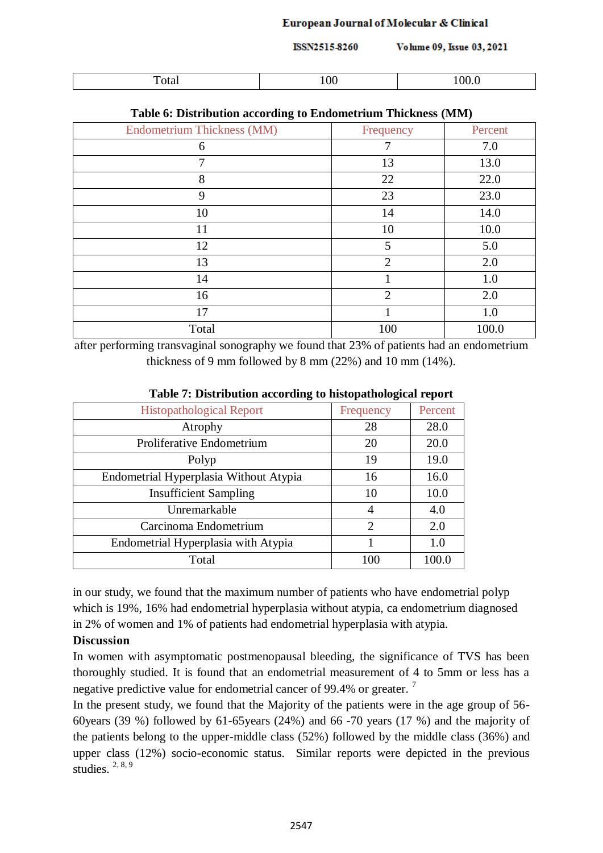| ISSN2515-8260 | Volume 09, Issue 03, 2021 |  |
|---------------|---------------------------|--|

| <u>т</u><br>`∩f√<br>I otal | ⌒╭<br>vv<br>$-$ | $\cap$<br>v.v |
|----------------------------|-----------------|---------------|

| <b>Endometrium Thickness (MM)</b> | Frequency      | Percent |
|-----------------------------------|----------------|---------|
| 6                                 | $\overline{7}$ | 7.0     |
| 7                                 | 13             | 13.0    |
| 8                                 | 22             | 22.0    |
| 9                                 | 23             | 23.0    |
| 10                                | 14             | 14.0    |
| 11                                | 10             | 10.0    |
| 12                                | 5              | 5.0     |
| 13                                | $\overline{2}$ | 2.0     |
| 14                                |                | 1.0     |
| 16                                | $\overline{2}$ | 2.0     |
| 17                                |                | 1.0     |
| Total                             | 100            | 100.0   |

#### **Table 6: Distribution according to Endometrium Thickness (MM)**

after performing transvaginal sonography we found that 23% of patients had an endometrium thickness of 9 mm followed by 8 mm (22%) and 10 mm (14%).

| ິ                                      |                |         |
|----------------------------------------|----------------|---------|
| <b>Histopathological Report</b>        | Frequency      | Percent |
| Atrophy                                | 28             | 28.0    |
| Proliferative Endometrium              | 20             | 20.0    |
| Polyp                                  | 19             | 19.0    |
| Endometrial Hyperplasia Without Atypia | 16             | 16.0    |
| <b>Insufficient Sampling</b>           | 10             | 10.0    |
| Unremarkable                           | 4              | 4.0     |
| Carcinoma Endometrium                  | $\overline{2}$ | 2.0     |
| Endometrial Hyperplasia with Atypia    |                | 1.0     |
| Total                                  | 100            | 100.0   |

# **Table 7: Distribution according to histopathological report**

in our study, we found that the maximum number of patients who have endometrial polyp which is 19%, 16% had endometrial hyperplasia without atypia, ca endometrium diagnosed in 2% of women and 1% of patients had endometrial hyperplasia with atypia.

## **Discussion**

In women with asymptomatic postmenopausal bleeding, the significance of TVS has been thoroughly studied. It is found that an endometrial measurement of 4 to 5mm or less has a negative predictive value for endometrial cancer of 99.4% or greater.<sup>7</sup>

In the present study, we found that the Majority of the patients were in the age group of 56- 60years (39 %) followed by 61-65years (24%) and 66 -70 years (17 %) and the majority of the patients belong to the upper-middle class (52%) followed by the middle class (36%) and upper class (12%) socio-economic status. Similar reports were depicted in the previous studies. 2, 8, 9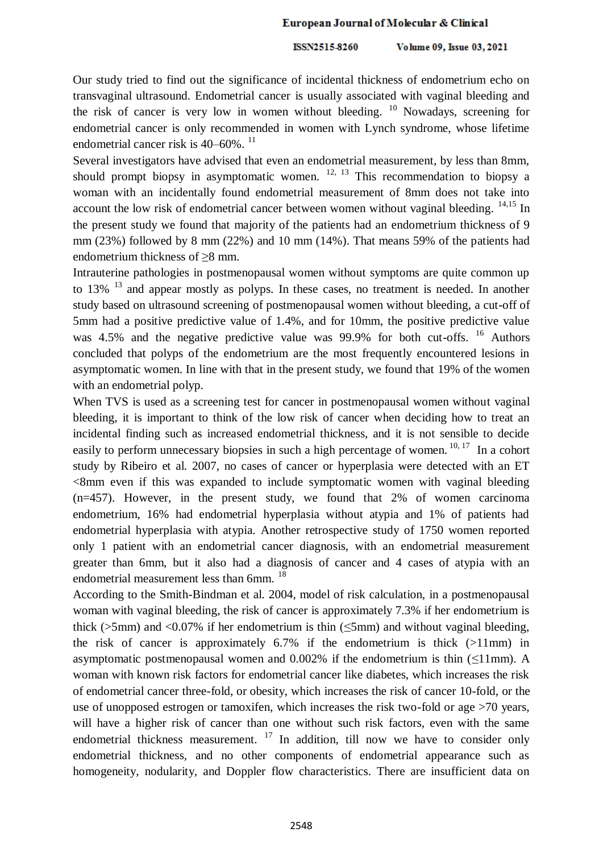ISSN2515-8260 Volume 09, Issue 03, 2021

Our study tried to find out the significance of incidental thickness of endometrium echo on transvaginal ultrasound. Endometrial cancer is usually associated with vaginal bleeding and the risk of cancer is very low in women without bleeding. <sup>10</sup> Nowadays, screening for endometrial cancer is only recommended in women with Lynch syndrome, whose lifetime endometrial cancer risk is  $40-60\%$ .  $^{11}$ 

Several investigators have advised that even an endometrial measurement, by less than 8mm, should prompt biopsy in asymptomatic women.  $12, 13$  This recommendation to biopsy a woman with an incidentally found endometrial measurement of 8mm does not take into account the low risk of endometrial cancer between women without vaginal bleeding.  $14,15$  In the present study we found that majority of the patients had an endometrium thickness of 9 mm (23%) followed by 8 mm (22%) and 10 mm (14%). That means 59% of the patients had endometrium thickness of  $\geq 8$  mm.

Intrauterine pathologies in postmenopausal women without symptoms are quite common up to  $13\%$  <sup>13</sup> and appear mostly as polyps. In these cases, no treatment is needed. In another study based on ultrasound screening of postmenopausal women without bleeding, a cut-off of 5mm had a positive predictive value of 1.4%, and for 10mm, the positive predictive value was 4.5% and the negative predictive value was 99.9% for both cut-offs. <sup>16</sup> Authors concluded that polyps of the endometrium are the most frequently encountered lesions in asymptomatic women. In line with that in the present study, we found that 19% of the women with an endometrial polyp.

When TVS is used as a screening test for cancer in postmenopausal women without vaginal bleeding, it is important to think of the low risk of cancer when deciding how to treat an incidental finding such as increased endometrial thickness, and it is not sensible to decide easily to perform unnecessary biopsies in such a high percentage of women.<sup>10, 17</sup> In a cohort study by Ribeiro et al. 2007, no cases of cancer or hyperplasia were detected with an ET  $\leq$ 8mm even if this was expanded to include symptomatic women with vaginal bleeding (n=457). However, in the present study, we found that 2% of women carcinoma endometrium, 16% had endometrial hyperplasia without atypia and 1% of patients had endometrial hyperplasia with atypia. Another retrospective study of 1750 women reported only 1 patient with an endometrial cancer diagnosis, with an endometrial measurement greater than 6mm, but it also had a diagnosis of cancer and 4 cases of atypia with an endometrial measurement less than 6mm. <sup>18</sup>

According to the Smith-Bindman et al. 2004, model of risk calculation, in a postmenopausal woman with vaginal bleeding, the risk of cancer is approximately 7.3% if her endometrium is thick ( $>5$ mm) and  $< 0.07\%$  if her endometrium is thin ( $< 5$ mm) and without vaginal bleeding. the risk of cancer is approximately  $6.7\%$  if the endometrium is thick  $(>11$ mm) in asymptomatic postmenopausal women and  $0.002\%$  if the endometrium is thin ( $\leq$ 11mm). A woman with known risk factors for endometrial cancer like diabetes, which increases the risk of endometrial cancer three-fold, or obesity, which increases the risk of cancer 10-fold, or the use of unopposed estrogen or tamoxifen, which increases the risk two-fold or age >70 years, will have a higher risk of cancer than one without such risk factors, even with the same endometrial thickness measurement.  $17$  In addition, till now we have to consider only endometrial thickness, and no other components of endometrial appearance such as homogeneity, nodularity, and Doppler flow characteristics. There are insufficient data on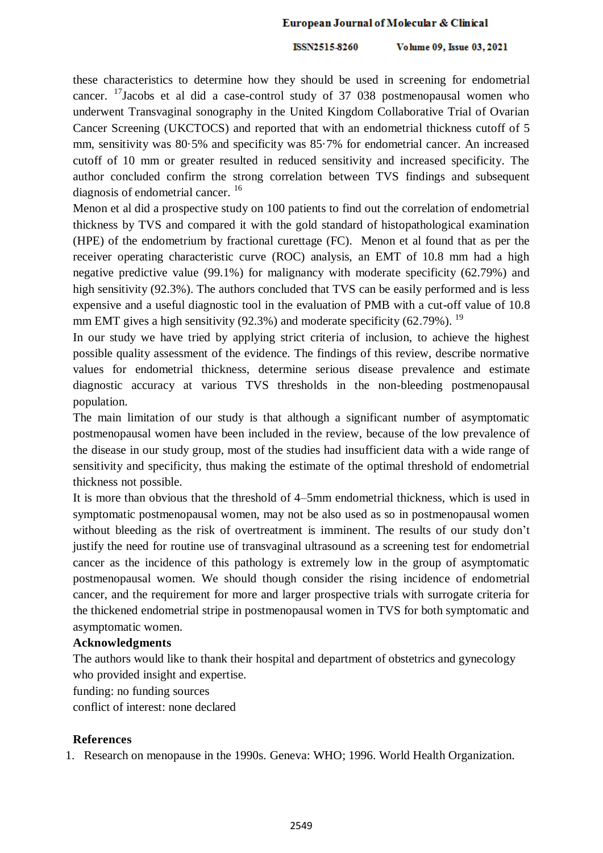ISSN2515-8260 Volume 09, Issue 03, 2021

these characteristics to determine how they should be used in screening for endometrial cancer. <sup>17</sup>Jacobs et al did a case-control study of 37 038 postmenopausal women who underwent Transvaginal sonography in the United Kingdom Collaborative Trial of Ovarian Cancer Screening (UKCTOCS) and reported that with an endometrial thickness cutoff of 5 mm, sensitivity was 80·5% and specificity was 85·7% for endometrial cancer. An increased cutoff of 10 mm or greater resulted in reduced sensitivity and increased specificity. The author concluded confirm the strong correlation between TVS findings and subsequent diagnosis of endometrial cancer. <sup>16</sup>

Menon et al did a prospective study on 100 patients to find out the correlation of endometrial thickness by TVS and compared it with the gold standard of histopathological examination (HPE) of the endometrium by fractional curettage (FC). Menon et al found that as per the receiver operating characteristic curve (ROC) analysis, an EMT of 10.8 mm had a high negative predictive value (99.1%) for malignancy with moderate specificity (62.79%) and high sensitivity (92.3%). The authors concluded that TVS can be easily performed and is less expensive and a useful diagnostic tool in the evaluation of PMB with a cut-off value of 10.8 mm EMT gives a high sensitivity (92.3%) and moderate specificity (62.79%). <sup>19</sup>

In our study we have tried by applying strict criteria of inclusion, to achieve the highest possible quality assessment of the evidence. The findings of this review, describe normative values for endometrial thickness, determine serious disease prevalence and estimate diagnostic accuracy at various TVS thresholds in the non-bleeding postmenopausal population.

The main limitation of our study is that although a significant number of asymptomatic postmenopausal women have been included in the review, because of the low prevalence of the disease in our study group, most of the studies had insufficient data with a wide range of sensitivity and specificity, thus making the estimate of the optimal threshold of endometrial thickness not possible.

It is more than obvious that the threshold of 4–5mm endometrial thickness, which is used in symptomatic postmenopausal women, may not be also used as so in postmenopausal women without bleeding as the risk of overtreatment is imminent. The results of our study don't justify the need for routine use of transvaginal ultrasound as a screening test for endometrial cancer as the incidence of this pathology is extremely low in the group of asymptomatic postmenopausal women. We should though consider the rising incidence of endometrial cancer, and the requirement for more and larger prospective trials with surrogate criteria for the thickened endometrial stripe in postmenopausal women in TVS for both symptomatic and asymptomatic women.

#### **Acknowledgments**

The authors would like to thank their hospital and department of obstetrics and gynecology who provided insight and expertise.

funding: no funding sources

conflict of interest: none declared

## **References**

1. Research on menopause in the 1990s. Geneva: WHO; 1996. World Health Organization.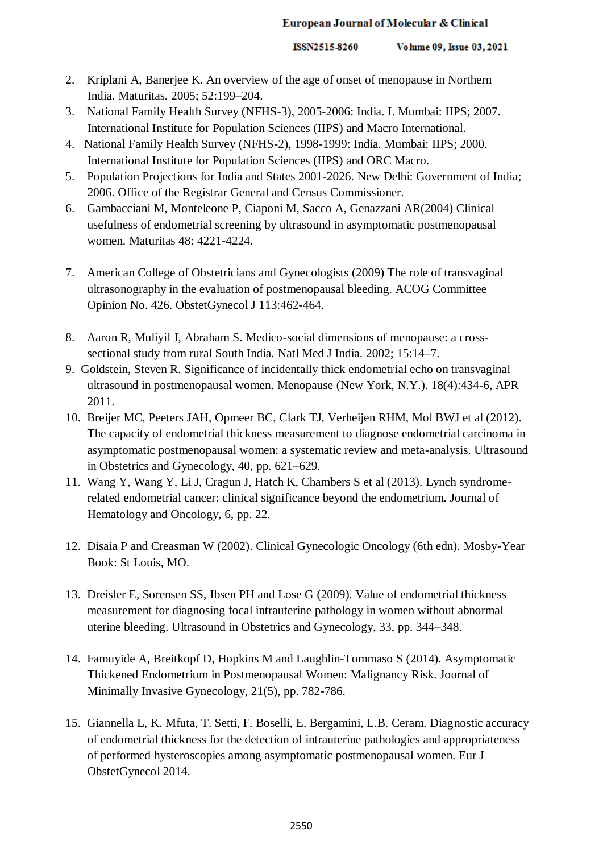- 2. Kriplani A, Banerjee K. An overview of the age of onset of menopause in Northern India. Maturitas. 2005; 52:199–204.
- 3. National Family Health Survey (NFHS-3), 2005-2006: India. I. Mumbai: IIPS; 2007. International Institute for Population Sciences (IIPS) and Macro International.
- 4. National Family Health Survey (NFHS-2), 1998-1999: India. Mumbai: IIPS; 2000. International Institute for Population Sciences (IIPS) and ORC Macro.
- 5. Population Projections for India and States 2001-2026. New Delhi: Government of India; 2006. Office of the Registrar General and Census Commissioner.
- 6. Gambacciani M, Monteleone P, Ciaponi M, Sacco A, Genazzani AR(2004) Clinical usefulness of endometrial screening by ultrasound in asymptomatic postmenopausal women. Maturitas 48: 4221-4224.
- 7. American College of Obstetricians and Gynecologists (2009) The role of transvaginal ultrasonography in the evaluation of postmenopausal bleeding. ACOG Committee Opinion No. 426. ObstetGynecol J 113:462-464.
- 8. Aaron R, Muliyil J, Abraham S. Medico-social dimensions of menopause: a crosssectional study from rural South India. Natl Med J India. 2002; 15:14–7.
- 9. Goldstein, Steven R. Significance of incidentally thick endometrial echo on transvaginal ultrasound in postmenopausal women. Menopause (New York, N.Y.). 18(4):434-6, APR 2011.
- 10. Breijer MC, Peeters JAH, Opmeer BC, Clark TJ, Verheijen RHM, Mol BWJ et al (2012). The capacity of endometrial thickness measurement to diagnose endometrial carcinoma in asymptomatic postmenopausal women: a systematic review and meta-analysis. Ultrasound in Obstetrics and Gynecology, 40, pp. 621–629.
- 11. Wang Y, Wang Y, Li J, Cragun J, Hatch K, Chambers S et al (2013). Lynch syndromerelated endometrial cancer: clinical significance beyond the endometrium. Journal of Hematology and Oncology, 6, pp. 22.
- 12. Disaia P and Creasman W (2002). Clinical Gynecologic Oncology (6th edn). Mosby-Year Book: St Louis, MO.
- 13. Dreisler E, Sorensen SS, Ibsen PH and Lose G (2009). Value of endometrial thickness measurement for diagnosing focal intrauterine pathology in women without abnormal uterine bleeding. Ultrasound in Obstetrics and Gynecology, 33, pp. 344–348.
- 14. Famuyide A, Breitkopf D, Hopkins M and Laughlin-Tommaso S (2014). Asymptomatic Thickened Endometrium in Postmenopausal Women: Malignancy Risk. Journal of Minimally Invasive Gynecology, 21(5), pp. 782-786.
- 15. Giannella L, K. Mfuta, T. Setti, F. Boselli, E. Bergamini, L.B. Ceram. Diagnostic accuracy of endometrial thickness for the detection of intrauterine pathologies and appropriateness of performed hysteroscopies among asymptomatic postmenopausal women. Eur J ObstetGynecol 2014.